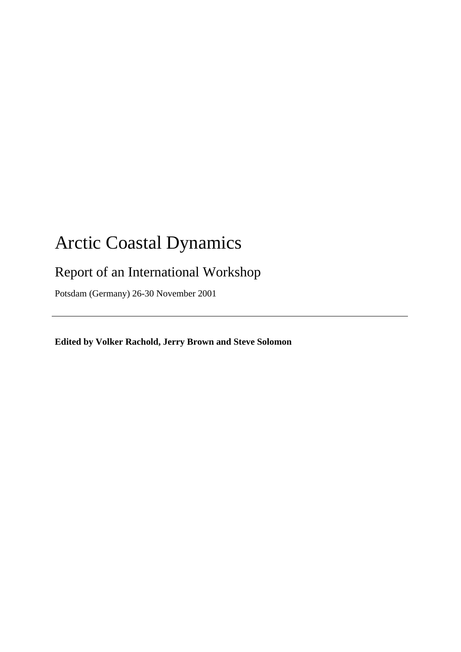# Arctic Coastal Dynamics

## Report of an International Workshop

Potsdam (Germany) 26-30 November 2001

**Edited by Volker Rachold, Jerry Brown and Steve Solomon**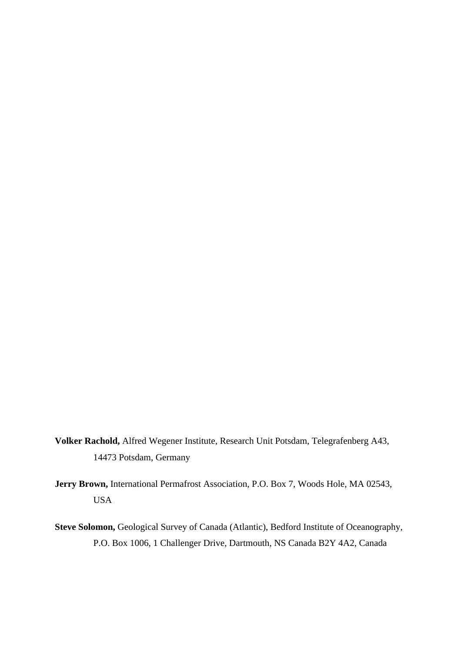- **Volker Rachold,** Alfred Wegener Institute, Research Unit Potsdam, Telegrafenberg A43, 14473 Potsdam, Germany
- **Jerry Brown,** International Permafrost Association, P.O. Box 7, Woods Hole, MA 02543, USA
- **Steve Solomon,** Geological Survey of Canada (Atlantic), Bedford Institute of Oceanography, P.O. Box 1006, 1 Challenger Drive, Dartmouth, NS Canada B2Y 4A2, Canada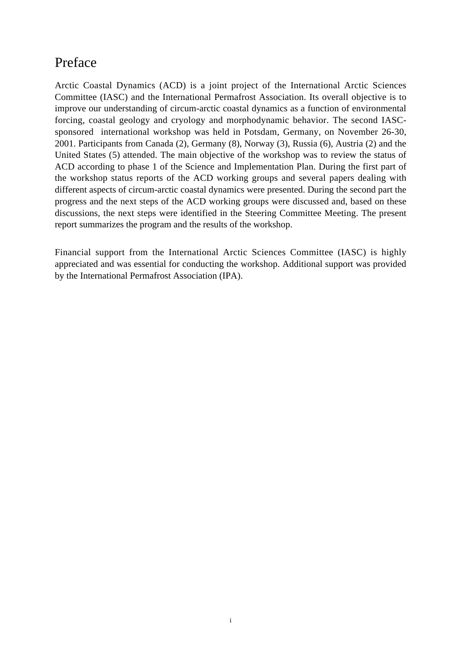### Preface

Arctic Coastal Dynamics (ACD) is a joint project of the International Arctic Sciences Committee (IASC) and the International Permafrost Association. Its overall objective is to improve our understanding of circum-arctic coastal dynamics as a function of environmental forcing, coastal geology and cryology and morphodynamic behavior. The second IASCsponsored international workshop was held in Potsdam, Germany, on November 26-30, 2001. Participants from Canada (2), Germany (8), Norway (3), Russia (6), Austria (2) and the United States (5) attended. The main objective of the workshop was to review the status of ACD according to phase 1 of the Science and Implementation Plan. During the first part of the workshop status reports of the ACD working groups and several papers dealing with different aspects of circum-arctic coastal dynamics were presented. During the second part the progress and the next steps of the ACD working groups were discussed and, based on these discussions, the next steps were identified in the Steering Committee Meeting. The present report summarizes the program and the results of the workshop.

Financial support from the International Arctic Sciences Committee (IASC) is highly appreciated and was essential for conducting the workshop. Additional support was provided by the International Permafrost Association (IPA).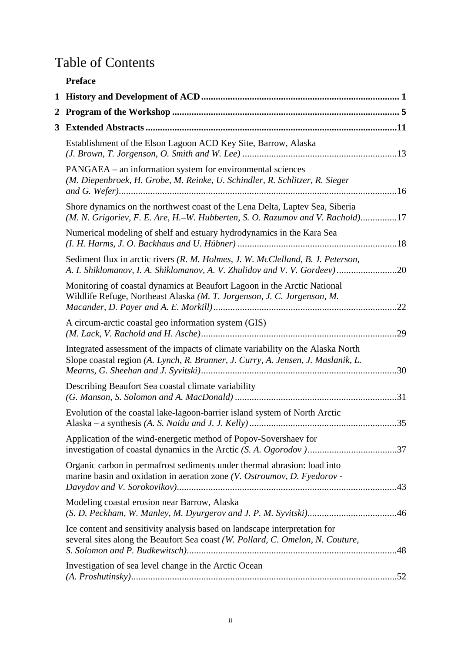### Table of Contents

|   | <b>Preface</b>                                                                                                                                                      |
|---|---------------------------------------------------------------------------------------------------------------------------------------------------------------------|
| 1 |                                                                                                                                                                     |
| 2 |                                                                                                                                                                     |
| 3 |                                                                                                                                                                     |
|   | Establishment of the Elson Lagoon ACD Key Site, Barrow, Alaska                                                                                                      |
|   | PANGAEA – an information system for environmental sciences<br>(M. Diepenbroek, H. Grobe, M. Reinke, U. Schindler, R. Schlitzer, R. Sieger                           |
|   | Shore dynamics on the northwest coast of the Lena Delta, Laptev Sea, Siberia<br>(M. N. Grigoriev, F. E. Are, H.–W. Hubberten, S. O. Razumov and V. Rachold)17       |
|   | Numerical modeling of shelf and estuary hydrodynamics in the Kara Sea                                                                                               |
|   | Sediment flux in arctic rivers (R. M. Holmes, J. W. McClelland, B. J. Peterson,<br>A. I. Shiklomanov, I. A. Shiklomanov, A. V. Zhulidov and V. V. Gordeev)20        |
|   | Monitoring of coastal dynamics at Beaufort Lagoon in the Arctic National<br>Wildlife Refuge, Northeast Alaska (M. T. Jorgenson, J. C. Jorgenson, M.                 |
|   | A circum-arctic coastal geo information system (GIS)                                                                                                                |
|   | Integrated assessment of the impacts of climate variability on the Alaska North<br>Slope coastal region (A. Lynch, R. Brunner, J. Curry, A. Jensen, J. Maslanik, L. |
|   | Describing Beaufort Sea coastal climate variability                                                                                                                 |
|   | Evolution of the coastal lake-lagoon-barrier island system of North Arctic<br>35                                                                                    |
|   | Application of the wind-energetic method of Popov-Sovershaev for                                                                                                    |
|   | Organic carbon in permafrost sediments under thermal abrasion: load into<br>marine basin and oxidation in aeration zone (V. Ostroumov, D. Fyedorov -                |
|   | Modeling coastal erosion near Barrow, Alaska                                                                                                                        |
|   | Ice content and sensitivity analysis based on landscape interpretation for<br>several sites along the Beaufort Sea coast (W. Pollard, C. Omelon, N. Couture,        |
|   | Investigation of sea level change in the Arctic Ocean                                                                                                               |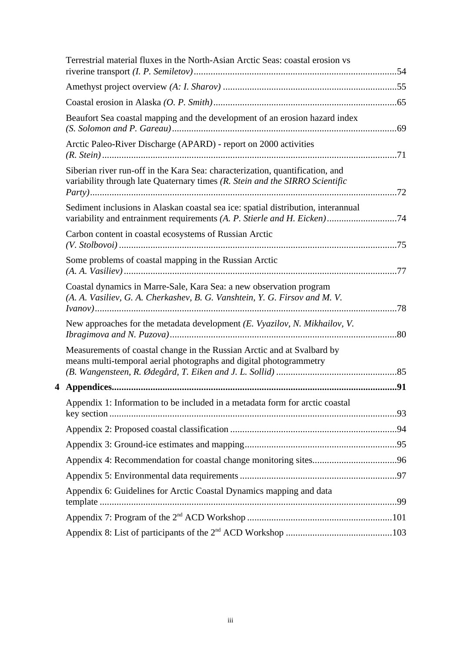| Terrestrial material fluxes in the North-Asian Arctic Seas: coastal erosion vs                                                                                |  |
|---------------------------------------------------------------------------------------------------------------------------------------------------------------|--|
|                                                                                                                                                               |  |
|                                                                                                                                                               |  |
| Beaufort Sea coastal mapping and the development of an erosion hazard index                                                                                   |  |
| Arctic Paleo-River Discharge (APARD) - report on 2000 activities                                                                                              |  |
| Siberian river run-off in the Kara Sea: characterization, quantification, and<br>variability through late Quaternary times (R. Stein and the SIRRO Scientific |  |
| Sediment inclusions in Alaskan coastal sea ice: spatial distribution, interannual<br>variability and entrainment requirements (A. P. Stierle and H. Eicken)74 |  |
| Carbon content in coastal ecosystems of Russian Arctic                                                                                                        |  |
| Some problems of coastal mapping in the Russian Arctic                                                                                                        |  |
| Coastal dynamics in Marre-Sale, Kara Sea: a new observation program<br>(A. A. Vasiliev, G. A. Cherkashev, B. G. Vanshtein, Y. G. Firsov and M. V.             |  |
| New approaches for the metadata development (E. Vyazilov, N. Mikhailov, V.                                                                                    |  |
| Measurements of coastal change in the Russian Arctic and at Svalbard by<br>means multi-temporal aerial photographs and digital photogrammetry                 |  |
|                                                                                                                                                               |  |
| Appendix 1: Information to be included in a metadata form for arctic coastal                                                                                  |  |
|                                                                                                                                                               |  |
|                                                                                                                                                               |  |
|                                                                                                                                                               |  |
|                                                                                                                                                               |  |
| Appendix 6: Guidelines for Arctic Coastal Dynamics mapping and data                                                                                           |  |
|                                                                                                                                                               |  |
|                                                                                                                                                               |  |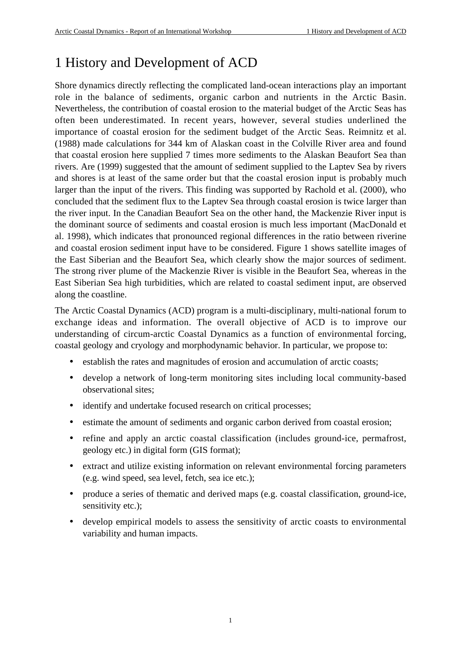### 1 History and Development of ACD

Shore dynamics directly reflecting the complicated land-ocean interactions play an important role in the balance of sediments, organic carbon and nutrients in the Arctic Basin. Nevertheless, the contribution of coastal erosion to the material budget of the Arctic Seas has often been underestimated. In recent years, however, several studies underlined the importance of coastal erosion for the sediment budget of the Arctic Seas. Reimnitz et al. (1988) made calculations for 344 km of Alaskan coast in the Colville River area and found that coastal erosion here supplied 7 times more sediments to the Alaskan Beaufort Sea than rivers. Are (1999) suggested that the amount of sediment supplied to the Laptev Sea by rivers and shores is at least of the same order but that the coastal erosion input is probably much larger than the input of the rivers. This finding was supported by Rachold et al. (2000), who concluded that the sediment flux to the Laptev Sea through coastal erosion is twice larger than the river input. In the Canadian Beaufort Sea on the other hand, the Mackenzie River input is the dominant source of sediments and coastal erosion is much less important (MacDonald et al. 1998), which indicates that pronounced regional differences in the ratio between riverine and coastal erosion sediment input have to be considered. Figure 1 shows satellite images of the East Siberian and the Beaufort Sea, which clearly show the major sources of sediment. The strong river plume of the Mackenzie River is visible in the Beaufort Sea, whereas in the East Siberian Sea high turbidities, which are related to coastal sediment input, are observed along the coastline.

The Arctic Coastal Dynamics (ACD) program is a multi-disciplinary, multi-national forum to exchange ideas and information. The overall objective of ACD is to improve our understanding of circum-arctic Coastal Dynamics as a function of environmental forcing, coastal geology and cryology and morphodynamic behavior. In particular, we propose to:

- establish the rates and magnitudes of erosion and accumulation of arctic coasts;
- develop a network of long-term monitoring sites including local community-based observational sites;
- identify and undertake focused research on critical processes;
- estimate the amount of sediments and organic carbon derived from coastal erosion;
- refine and apply an arctic coastal classification (includes ground-ice, permafrost, geology etc.) in digital form (GIS format);
- extract and utilize existing information on relevant environmental forcing parameters (e.g. wind speed, sea level, fetch, sea ice etc.);
- produce a series of thematic and derived maps (e.g. coastal classification, ground-ice, sensitivity etc.);
- develop empirical models to assess the sensitivity of arctic coasts to environmental variability and human impacts.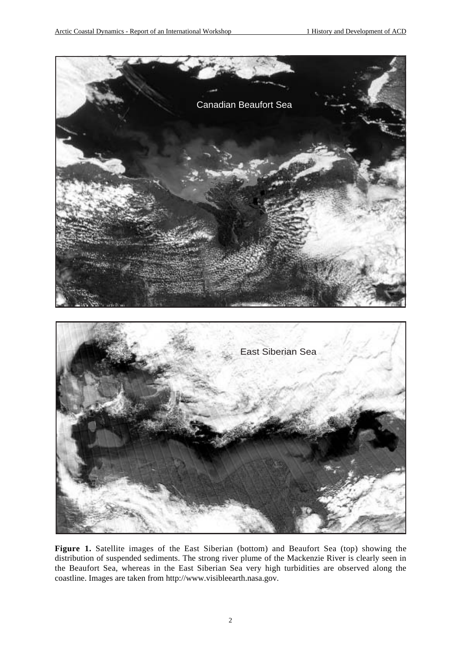

**Figure 1.** Satellite images of the East Siberian (bottom) and Beaufort Sea (top) showing the distribution of suspended sediments. The strong river plume of the Mackenzie River is clearly seen in the Beaufort Sea, whereas in the East Siberian Sea very high turbidities are observed along the coastline. Images are taken from http://www.visibleearth.nasa.gov.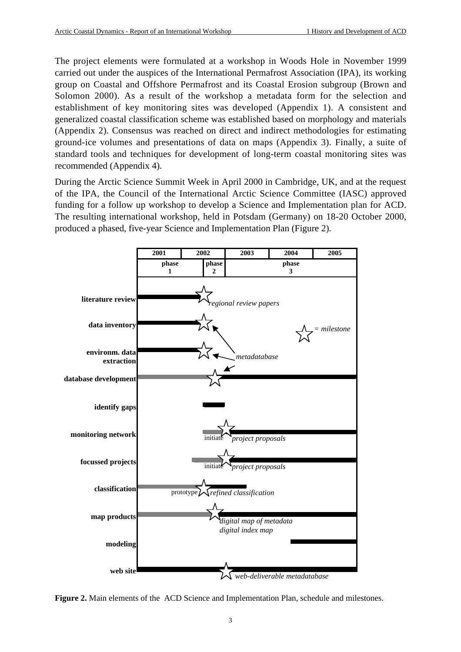The project elements were formulated at a workshop in Woods Hole in November 1999 carried out under the auspices of the International Permafrost Association (IPA), its working group on Coastal and Offshore Permafrost and its Coastal Erosion subgroup (Brown and Solomon 2000). As a result of the workshop a metadata form for the selection and establishment of key monitoring sites was developed (Appendix 1). A consistent and generalized coastal classification scheme was established based on morphology and materials (Appendix 2). Consensus was reached on direct and indirect methodologies for estimating ground-ice volumes and presentations of data on maps (Appendix 3). Finally, a suite of standard tools and techniques for development of long-term coastal monitoring sites was recommended (Appendix 4).

During the Arctic Science Summit Week in April 2000 in Cambridge, UK, and at the request of the IPA, the Council of the International Arctic Science Committee (IASC) approved funding for a follow up workshop to develop a Science and Implementation plan for ACD. The resulting international workshop, held in Potsdam (Germany) on 18-20 October 2000, produced a phased, five-year Science and Implementation Plan (Figure 2).



**Figure 2.** Main elements of the ACD Science and Implementation Plan, schedule and milestones.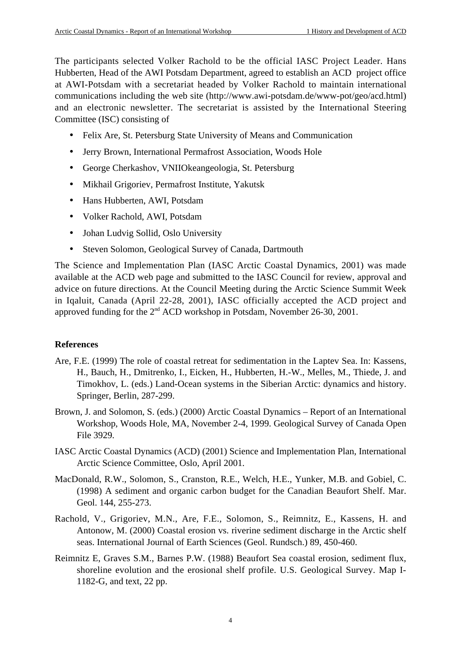The participants selected Volker Rachold to be the official IASC Project Leader. Hans Hubberten, Head of the AWI Potsdam Department, agreed to establish an ACD project office at AWI-Potsdam with a secretariat headed by Volker Rachold to maintain international communications including the web site (http://www.awi-potsdam.de/www-pot/geo/acd.html) and an electronic newsletter. The secretariat is assisted by the International Steering Committee (ISC) consisting of

- Felix Are, St. Petersburg State University of Means and Communication
- Jerry Brown, International Permafrost Association, Woods Hole
- George Cherkashov, VNIIOkeangeologia, St. Petersburg
- Mikhail Grigoriev, Permafrost Institute, Yakutsk
- Hans Hubberten, AWI, Potsdam
- Volker Rachold, AWI, Potsdam
- Johan Ludvig Sollid, Oslo University
- Steven Solomon, Geological Survey of Canada, Dartmouth

The Science and Implementation Plan (IASC Arctic Coastal Dynamics, 2001) was made available at the ACD web page and submitted to the IASC Council for review, approval and advice on future directions. At the Council Meeting during the Arctic Science Summit Week in Iqaluit, Canada (April 22-28, 2001), IASC officially accepted the ACD project and approved funding for the 2<sup>nd</sup> ACD workshop in Potsdam, November 26-30, 2001.

#### **References**

- Are, F.E. (1999) The role of coastal retreat for sedimentation in the Laptev Sea. In: Kassens, H., Bauch, H., Dmitrenko, I., Eicken, H., Hubberten, H.-W., Melles, M., Thiede, J. and Timokhov, L. (eds.) Land-Ocean systems in the Siberian Arctic: dynamics and history. Springer, Berlin, 287-299.
- Brown, J. and Solomon, S. (eds.) (2000) Arctic Coastal Dynamics Report of an International Workshop, Woods Hole, MA, November 2-4, 1999. Geological Survey of Canada Open File 3929.
- IASC Arctic Coastal Dynamics (ACD) (2001) Science and Implementation Plan, International Arctic Science Committee, Oslo, April 2001.
- MacDonald, R.W., Solomon, S., Cranston, R.E., Welch, H.E., Yunker, M.B. and Gobiel, C. (1998) A sediment and organic carbon budget for the Canadian Beaufort Shelf. Mar. Geol. 144, 255-273.
- Rachold, V., Grigoriev, M.N., Are, F.E., Solomon, S., Reimnitz, E., Kassens, H. and Antonow, M. (2000) Coastal erosion vs. riverine sediment discharge in the Arctic shelf seas. International Journal of Earth Sciences (Geol. Rundsch.) 89, 450-460.
- Reimnitz E, Graves S.M., Barnes P.W. (1988) Beaufort Sea coastal erosion, sediment flux, shoreline evolution and the erosional shelf profile. U.S. Geological Survey. Map I-1182-G, and text, 22 pp.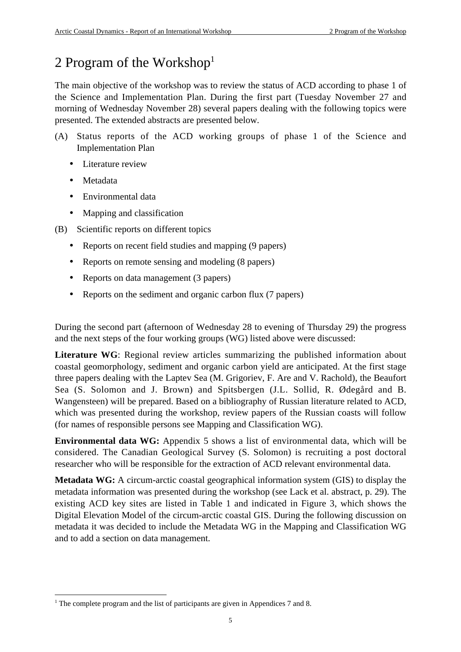### 2 Program of the Workshop $<sup>1</sup>$ </sup>

The main objective of the workshop was to review the status of ACD according to phase 1 of the Science and Implementation Plan. During the first part (Tuesday November 27 and morning of Wednesday November 28) several papers dealing with the following topics were presented. The extended abstracts are presented below.

- (A) Status reports of the ACD working groups of phase 1 of the Science and Implementation Plan
	- Literature review
	- Metadata
	- Environmental data
	- Mapping and classification
- (B) Scientific reports on different topics
	- Reports on recent field studies and mapping (9 papers)
	- Reports on remote sensing and modeling (8 papers)
	- Reports on data management (3 papers)
	- Reports on the sediment and organic carbon flux (7 papers)

During the second part (afternoon of Wednesday 28 to evening of Thursday 29) the progress and the next steps of the four working groups (WG) listed above were discussed:

**Literature WG**: Regional review articles summarizing the published information about coastal geomorphology, sediment and organic carbon yield are anticipated. At the first stage three papers dealing with the Laptev Sea (M. Grigoriev, F. Are and V. Rachold), the Beaufort Sea (S. Solomon and J. Brown) and Spitsbergen (J.L. Sollid, R. Ødegård and B. Wangensteen) will be prepared. Based on a bibliography of Russian literature related to ACD, which was presented during the workshop, review papers of the Russian coasts will follow (for names of responsible persons see Mapping and Classification WG).

**Environmental data WG:** Appendix 5 shows a list of environmental data, which will be considered. The Canadian Geological Survey (S. Solomon) is recruiting a post doctoral researcher who will be responsible for the extraction of ACD relevant environmental data.

**Metadata WG:** A circum-arctic coastal geographical information system (GIS) to display the metadata information was presented during the workshop (see Lack et al. abstract, p. 29). The existing ACD key sites are listed in Table 1 and indicated in Figure 3, which shows the Digital Elevation Model of the circum-arctic coastal GIS. During the following discussion on metadata it was decided to include the Metadata WG in the Mapping and Classification WG and to add a section on data management.

 $\frac{1}{1}$ <sup>1</sup> The complete program and the list of participants are given in Appendices 7 and 8.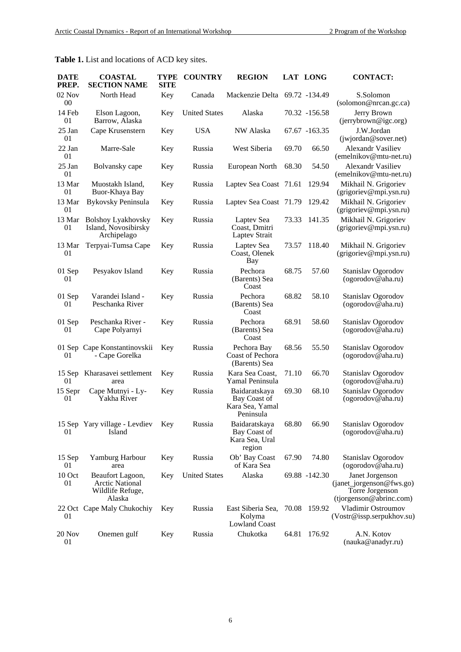| <b>DATE</b><br>PREP. | <b>COASTAL</b><br><b>SECTION NAME</b>                                    | <b>TYPE</b><br><b>SITE</b> | <b>COUNTRY</b>       | <b>REGION</b>                                                 |       | <b>LAT LONG</b> | <b>CONTACT:</b>                                                                           |
|----------------------|--------------------------------------------------------------------------|----------------------------|----------------------|---------------------------------------------------------------|-------|-----------------|-------------------------------------------------------------------------------------------|
| $02$ Nov<br>00       | North Head                                                               | Key                        | Canada               | Mackenzie Delta 69.72 -134.49                                 |       |                 | S.Solomon<br>(solomon@nrcan.gc.ca)                                                        |
| 14 Feb<br>01         | Elson Lagoon,<br>Barrow, Alaska                                          | Key                        | <b>United States</b> | Alaska                                                        |       | 70.32 -156.58   | Jerry Brown<br>(jerrybrown@igc.org)                                                       |
| 25 Jan<br>01         | Cape Krusenstern                                                         | Key                        | <b>USA</b>           | NW Alaska                                                     |       | 67.67 -163.35   | J.W.Jordan<br>(jwjordan@sover.net)                                                        |
| 22 Jan<br>01         | Marre-Sale                                                               | Key                        | Russia               | West Siberia                                                  | 69.70 | 66.50           | <b>Alexandr Vasiliev</b><br>(emelnikov@mtu-net.ru)                                        |
| 25 Jan<br>01         | Bolvansky cape                                                           | Key                        | Russia               | European North                                                | 68.30 | 54.50           | <b>Alexandr Vasiliev</b><br>(emelnikov@mtu-net.ru)                                        |
| 13 Mar<br>01         | Muostakh Island,<br>Buor-Khaya Bay                                       | Key                        | Russia               | Laptev Sea Coast 71.61                                        |       | 129.94          | Mikhail N. Grigoriev<br>(grigoriev@mpi.ysn.ru)                                            |
| 13 Mar<br>01         | <b>Bykovsky Peninsula</b>                                                | Key                        | Russia               | Laptev Sea Coast 71.79                                        |       | 129.42          | Mikhail N. Grigoriev<br>(grigoriev@mpi.ysn.ru)                                            |
| 13 Mar<br>01         | <b>Bolshoy Lyakhovsky</b><br>Island, Novosibirsky<br>Archipelago         | Key                        | Russia               | Laptev Sea<br>Coast, Dmitri<br>Laptev Strait                  | 73.33 | 141.35          | Mikhail N. Grigoriev<br>(grigoriev@mpi.ysn.ru)                                            |
| 13 Mar<br>01         | Terpyai-Tumsa Cape                                                       | Key                        | Russia               | Laptev Sea<br>Coast, Olenek<br><b>Bay</b>                     | 73.57 | 118.40          | Mikhail N. Grigoriev<br>(grigoriev@mpi.ysn.ru)                                            |
| 01 Sep<br>01         | Pesyakov Island                                                          | Key                        | Russia               | Pechora<br>(Barents) Sea<br>Coast                             | 68.75 | 57.60           | Stanislav Ogorodov<br>(ogorodov@aha.ru)                                                   |
| 01 Sep<br>01         | Varandei Island -<br>Peschanka River                                     | Key                        | Russia               | Pechora<br>(Barents) Sea<br>Coast                             | 68.82 | 58.10           | Stanislav Ogorodov<br>(ogorodov@aha.ru)                                                   |
| 01 Sep<br>01         | Peschanka River -<br>Cape Polyarnyi                                      | Key                        | Russia               | Pechora<br>(Barents) Sea<br>Coast                             | 68.91 | 58.60           | Stanislav Ogorodov<br>(ogorodov@aha.ru)                                                   |
| 01                   | 01 Sep Cape Konstantinovskii<br>- Cape Gorelka                           | Key                        | Russia               | Pechora Bay<br>Coast of Pechora<br>(Barents) Sea              | 68.56 | 55.50           | Stanislav Ogorodov<br>(ogorodov@aha.ru)                                                   |
| 15 Sep<br>01         | Kharasavei settlement<br>area                                            | Key                        | Russia               | Kara Sea Coast.<br>Yamal Peninsula                            | 71.10 | 66.70           | Stanislav Ogorodov<br>(ogorodov@aha.ru)                                                   |
| 15 Sepr<br>01        | Cape Mutnyi - Ly-<br>Yakha River                                         | Key                        | Russia               | Baidaratskaya<br>Bay Coast of<br>Kara Sea, Yamal<br>Peninsula | 69.30 | 68.10           | Stanislav Ogorodov<br>(ogorodov@aha.ru)                                                   |
| 01                   | 15 Sep Yary village - Levdiev<br>Island                                  | Key                        | Russia               | Baidaratskaya<br>Bay Coast of<br>Kara Sea, Ural<br>region     | 68.80 | 66.90           | Stanislav Ogorodov<br>(ogorodov@aha.ru)                                                   |
| 15 Sep<br>01         | Yamburg Harbour<br>area                                                  | Key                        | Russia               | Ob' Bay Coast<br>of Kara Sea                                  | 67.90 | 74.80           | Stanislav Ogorodov<br>(ogorodov@aha.ru)                                                   |
| 10 Oct<br>01         | Beaufort Lagoon,<br><b>Arctic National</b><br>Wildlife Refuge,<br>Alaska | Key                        | <b>United States</b> | Alaska                                                        |       | 69.88 -142.30   | Janet Jorgenson<br>(janet_jorgenson@fws.go)<br>Torre Jorgenson<br>(tjorgenson@abrinc.com) |
| 01                   | 22 Oct Cape Maly Chukochiy                                               | Key                        | Russia               | East Siberia Sea,<br>Kolyma<br>Lowland Coast                  | 70.08 | 159.92          | Vladimir Ostroumov<br>(Vostr@issp.serpukhov.su)                                           |
| 20 Nov<br>01         | Onemen gulf                                                              | Key                        | Russia               | Chukotka                                                      | 64.81 | 176.92          | A.N. Kotov<br>(nauka@anadyr.ru)                                                           |

### **Table 1.** List and locations of ACD key sites.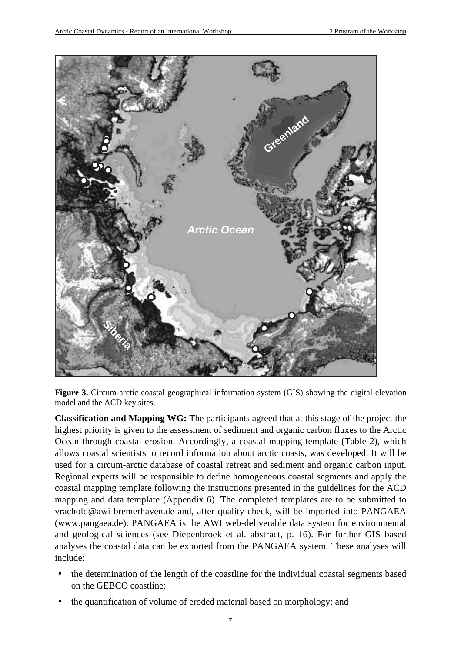

**Figure 3.** Circum-arctic coastal geographical information system (GIS) showing the digital elevation model and the ACD key sites.

**Classification and Mapping WG:** The participants agreed that at this stage of the project the highest priority is given to the assessment of sediment and organic carbon fluxes to the Arctic Ocean through coastal erosion. Accordingly, a coastal mapping template (Table 2), which allows coastal scientists to record information about arctic coasts, was developed. It will be used for a circum-arctic database of coastal retreat and sediment and organic carbon input. Regional experts will be responsible to define homogeneous coastal segments and apply the coastal mapping template following the instructions presented in the guidelines for the ACD mapping and data template (Appendix 6). The completed templates are to be submitted to vrachold@awi-bremerhaven.de and, after quality-check, will be imported into PANGAEA (www.pangaea.de). PANGAEA is the AWI web-deliverable data system for environmental and geological sciences (see Diepenbroek et al. abstract, p. 16). For further GIS based analyses the coastal data can be exported from the PANGAEA system. These analyses will include:

- the determination of the length of the coastline for the individual coastal segments based on the GEBCO coastline;
- the quantification of volume of eroded material based on morphology; and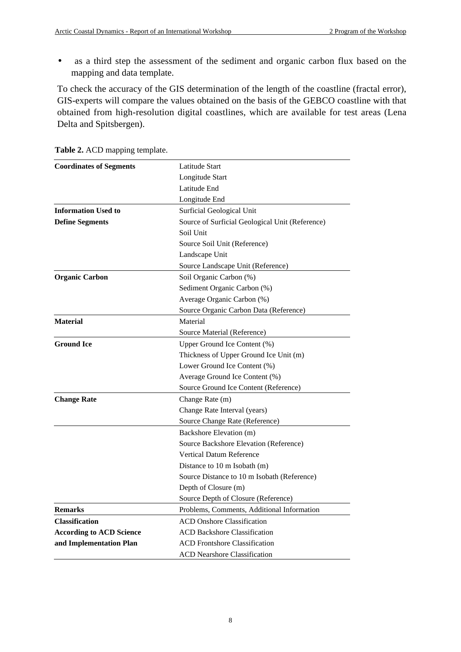• as a third step the assessment of the sediment and organic carbon flux based on the mapping and data template.

To check the accuracy of the GIS determination of the length of the coastline (fractal error), GIS-experts will compare the values obtained on the basis of the GEBCO coastline with that obtained from high-resolution digital coastlines, which are available for test areas (Lena Delta and Spitsbergen).

| <b>Coordinates of Segments</b>  | Latitude Start                                  |  |  |  |  |
|---------------------------------|-------------------------------------------------|--|--|--|--|
|                                 | Longitude Start                                 |  |  |  |  |
|                                 | Latitude End                                    |  |  |  |  |
|                                 | Longitude End                                   |  |  |  |  |
| <b>Information Used to</b>      | Surficial Geological Unit                       |  |  |  |  |
| <b>Define Segments</b>          | Source of Surficial Geological Unit (Reference) |  |  |  |  |
|                                 | Soil Unit                                       |  |  |  |  |
|                                 | Source Soil Unit (Reference)                    |  |  |  |  |
|                                 | Landscape Unit                                  |  |  |  |  |
|                                 | Source Landscape Unit (Reference)               |  |  |  |  |
| <b>Organic Carbon</b>           | Soil Organic Carbon (%)                         |  |  |  |  |
|                                 | Sediment Organic Carbon (%)                     |  |  |  |  |
|                                 | Average Organic Carbon (%)                      |  |  |  |  |
|                                 | Source Organic Carbon Data (Reference)          |  |  |  |  |
| <b>Material</b>                 | Material                                        |  |  |  |  |
|                                 | Source Material (Reference)                     |  |  |  |  |
| <b>Ground Ice</b>               | Upper Ground Ice Content (%)                    |  |  |  |  |
|                                 | Thickness of Upper Ground Ice Unit (m)          |  |  |  |  |
|                                 | Lower Ground Ice Content (%)                    |  |  |  |  |
|                                 | Average Ground Ice Content (%)                  |  |  |  |  |
|                                 | Source Ground Ice Content (Reference)           |  |  |  |  |
| <b>Change Rate</b>              | Change Rate (m)                                 |  |  |  |  |
|                                 | Change Rate Interval (years)                    |  |  |  |  |
|                                 | Source Change Rate (Reference)                  |  |  |  |  |
|                                 | Backshore Elevation (m)                         |  |  |  |  |
|                                 | Source Backshore Elevation (Reference)          |  |  |  |  |
|                                 | Vertical Datum Reference                        |  |  |  |  |
|                                 | Distance to 10 m Isobath (m)                    |  |  |  |  |
|                                 | Source Distance to 10 m Isobath (Reference)     |  |  |  |  |
|                                 | Depth of Closure (m)                            |  |  |  |  |
|                                 | Source Depth of Closure (Reference)             |  |  |  |  |
| <b>Remarks</b>                  | Problems, Comments, Additional Information      |  |  |  |  |
| <b>Classification</b>           | <b>ACD Onshore Classification</b>               |  |  |  |  |
| <b>According to ACD Science</b> | <b>ACD Backshore Classification</b>             |  |  |  |  |
| and Implementation Plan         | <b>ACD Frontshore Classification</b>            |  |  |  |  |
|                                 | <b>ACD Nearshore Classification</b>             |  |  |  |  |

**Table 2.** ACD mapping template.